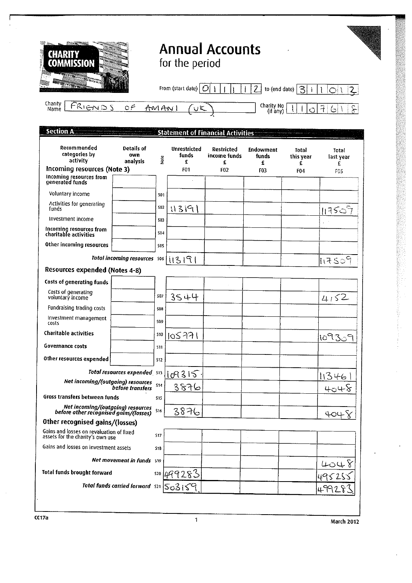| <b>CHARITY</b><br><b>COMMISSION</b>                                          |                                                |            | for the period             | <b>Annual Accounts</b>                   |                                |                           |                                          |
|------------------------------------------------------------------------------|------------------------------------------------|------------|----------------------------|------------------------------------------|--------------------------------|---------------------------|------------------------------------------|
|                                                                              |                                                |            | From (start date) $ O $    |                                          | $\overline{2}$                 | to (end date) $ 3 $<br>j. | $\overline{2}$                           |
| Charity<br>FRI <u>ENDS</u><br>Name                                           | $\circ \in$                                    |            | AMAN<br>$U\zeta$           |                                          | Charity No<br>(if any)         | $\circ$                   | $\overline{1}$<br>్గా<br>$\left(\right)$ |
| <b>Section A</b>                                                             |                                                |            |                            | <b>Statement of Financial Activities</b> |                                |                           |                                          |
| Recommended<br>categories by<br>activity                                     | Details of<br>own<br>analysis                  | Note       | Unrestricted<br>funds<br>£ | <b>Restricted</b><br>income funds<br>£   | <b>Endowment</b><br>funds<br>£ | Total<br>this year<br>£   | Total<br>last year<br>£                  |
| Incoming resources (Note 3)                                                  |                                                |            | F01                        | <b>F02</b>                               | F03                            | F04                       | F05                                      |
| Incoming resources from<br>generated funds                                   |                                                |            |                            |                                          |                                |                           |                                          |
| Voluntary income                                                             |                                                | 501        |                            |                                          |                                |                           |                                          |
| Activities for generating<br>funds                                           |                                                | 502        | 113191                     |                                          |                                |                           | 113507                                   |
| Investment income                                                            |                                                | 503        |                            |                                          |                                |                           |                                          |
| Incoming resources from<br>charitable activities                             |                                                | 504        |                            |                                          |                                |                           |                                          |
| Other incoming resources                                                     |                                                | 505        |                            |                                          |                                |                           |                                          |
| Resources expended (Notes 4-8)                                               | Total incoming resources soo                   |            | 113191                     |                                          |                                |                           | 117509                                   |
| Costs of generating funds                                                    |                                                |            |                            |                                          |                                |                           |                                          |
| Costs of generating<br>voluntary income                                      |                                                | 507        | 3544                       |                                          |                                |                           | 4152                                     |
| Fundraising trading costs                                                    |                                                | 508        |                            |                                          |                                |                           |                                          |
| Investment management<br>costs                                               |                                                | 509        |                            |                                          |                                |                           |                                          |
| <b>Charitable activities</b>                                                 |                                                |            | $510$   $105$ 771          |                                          |                                |                           | 10930<br>$\mathbb{C}$<br>1               |
| Governance costs                                                             |                                                | 511        |                            |                                          |                                |                           |                                          |
| Other resources expended                                                     |                                                | <b>S12</b> |                            |                                          |                                |                           |                                          |
|                                                                              | Total resources expended 513                   |            | 109315                     |                                          |                                |                           | 11346                                    |
| Net incoming/(outgoing) resources<br>before transfers                        |                                                | \$14       | ३୫२6                       |                                          |                                |                           | 4048                                     |
| Gross transfers between funds                                                |                                                | 515        |                            |                                          |                                |                           |                                          |
| Net incoming/(outgoing) resources<br>before other recognised gains/(losses)  |                                                | \$16       | 3876                       |                                          |                                |                           | 404 Y                                    |
| Other recognised gains/(losses)                                              |                                                |            |                            |                                          |                                |                           |                                          |
| Gains and losses on revaluation of fixed<br>assets for the charity's own use |                                                | 517        |                            |                                          |                                |                           |                                          |
| Gains and losses on investment assets                                        |                                                | 518        |                            |                                          |                                |                           |                                          |
|                                                                              | <b>Net movement in funds</b> 519               |            |                            |                                          |                                |                           | 4048                                     |
| Total funds brought forward                                                  |                                                | 520        | 499283                     |                                          |                                |                           |                                          |
|                                                                              | Total funds carried forward $\sin  S_0S_1S_1 $ |            |                            |                                          |                                |                           |                                          |

er and the contract of the contract of the contract of the contract of the contract of the contract of the contract of the contract of the contract of the contract of the contract of the contract of the contract of the con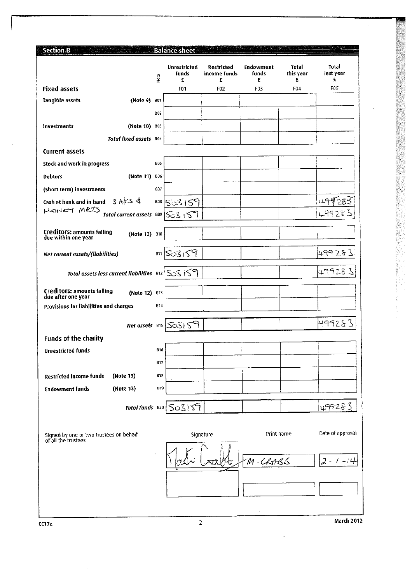| <b>Section B</b>                                                   |            | <b>Balance sheet</b>                  |                                        |                                       |                         |                         |
|--------------------------------------------------------------------|------------|---------------------------------------|----------------------------------------|---------------------------------------|-------------------------|-------------------------|
|                                                                    | Note       | Unrestricted<br>funds<br>£            | <b>Restricted</b><br>income funds<br>£ | <b>Endowment</b><br><b>funds</b><br>£ | Total<br>this year<br>£ | Total<br>last year<br>£ |
| <b>Fixed assets</b>                                                |            | <b>F01</b>                            | F02                                    | FU3                                   | F04                     | 165                     |
| <b>Tangible assets</b><br>(Note 9) B01                             |            |                                       |                                        |                                       |                         |                         |
|                                                                    | <b>BD2</b> |                                       |                                        |                                       |                         |                         |
| (Note 10) 803<br>Investments                                       |            |                                       |                                        |                                       |                         |                         |
| Total fixed assets B04                                             |            |                                       |                                        |                                       |                         |                         |
| <b>Current assets</b>                                              |            |                                       |                                        |                                       |                         |                         |
| Stock and work in progress                                         | <b>B05</b> |                                       |                                        |                                       | $\mathbf{r}$            | $\epsilon$              |
| (Note 11)<br><b>Debtors</b>                                        | <b>BO6</b> |                                       |                                        |                                       |                         |                         |
|                                                                    | 807        |                                       |                                        |                                       |                         |                         |
| (Short term) investments                                           |            |                                       |                                        |                                       |                         |                         |
| Cash at bank and in hand 3 A/CS &<br>MONEY METS                    |            | 808 503159                            |                                        |                                       |                         |                         |
| Total current assets $809$ $5315$                                  |            |                                       |                                        |                                       |                         | L99283                  |
| Creditors: amounts falling<br>due within one year<br>(Note 12) B10 |            |                                       |                                        |                                       |                         |                         |
| Net current assets/(liabilities)                                   |            | 811 503 159                           |                                        |                                       |                         | 499283                  |
| Total assets less current liabilities $ s_{12} $ So $\leq$ i S     |            |                                       |                                        |                                       |                         | 49928                   |
| <b>Creditors: amounts falling</b><br>(Note 12) B13                 |            |                                       |                                        |                                       |                         |                         |
| due after one year<br>Provisions for liabilities and charges       | <b>B14</b> |                                       |                                        |                                       |                         |                         |
|                                                                    |            |                                       |                                        |                                       |                         |                         |
|                                                                    |            | Net assets 815 So3159                 |                                        |                                       |                         | 4992&3                  |
| Funds of the charity                                               |            |                                       |                                        |                                       |                         |                         |
| <b>Unrestricted funds</b>                                          | 816        |                                       |                                        |                                       |                         |                         |
|                                                                    | 817        |                                       |                                        |                                       |                         |                         |
| <b>Restricted income funds</b><br>(Note 13)                        | B18        |                                       |                                        |                                       |                         |                         |
| (Note 13)<br><b>Endowment funds</b>                                | <b>B19</b> |                                       |                                        |                                       |                         |                         |
|                                                                    |            | Total funds $B20 \mid S_0 \leq  S_1 $ |                                        |                                       |                         | 499283                  |
|                                                                    |            |                                       |                                        |                                       |                         |                         |
| Signed by one or two trustees on behalf<br>of all the trustees     |            |                                       | Signature                              | Print name                            |                         | Date of approval        |
|                                                                    |            |                                       |                                        |                                       |                         |                         |
|                                                                    |            |                                       |                                        | M.CRABB                               |                         |                         |
|                                                                    |            |                                       |                                        |                                       |                         |                         |
|                                                                    |            |                                       |                                        |                                       |                         |                         |
|                                                                    |            |                                       |                                        |                                       |                         |                         |
|                                                                    |            |                                       |                                        |                                       |                         |                         |
| CC17a                                                              |            | 2                                     |                                        |                                       |                         | <b>March 2012</b>       |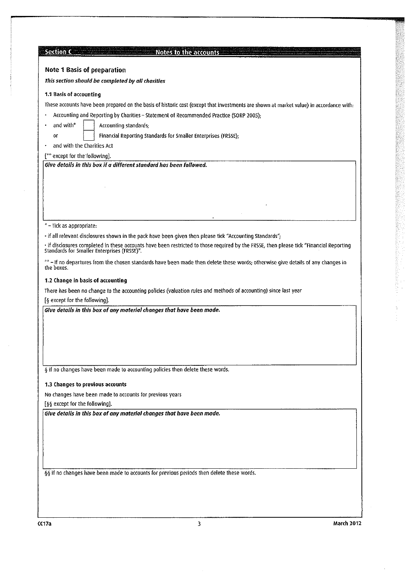| <b>Section Com</b>                                                             | Notes to the accounts                                                                                                                                                                  |                   |
|--------------------------------------------------------------------------------|----------------------------------------------------------------------------------------------------------------------------------------------------------------------------------------|-------------------|
| <b>Note 1 Basis of preparation</b>                                             |                                                                                                                                                                                        |                   |
| This section should be completed by all charities                              |                                                                                                                                                                                        |                   |
|                                                                                |                                                                                                                                                                                        |                   |
| 1.1 Basis of accounting                                                        |                                                                                                                                                                                        |                   |
|                                                                                | These accounts have been prepared on the basis of historic cost (except that investments are shown at market value) in accordance with:                                                |                   |
|                                                                                | Accounting and Reporting by Charities - Statement of Recommended Practice (SORP 2005);                                                                                                 |                   |
| and with*<br>Accounting standards;                                             |                                                                                                                                                                                        |                   |
| or                                                                             | Financial Reporting Standards for Smaller Enterprises (FRSSE);                                                                                                                         |                   |
| and with the Charities Act                                                     |                                                                                                                                                                                        |                   |
| [ <sup>**</sup> except for the following].                                     |                                                                                                                                                                                        |                   |
| Give details in this box if a different standard has been followed.            |                                                                                                                                                                                        |                   |
|                                                                                |                                                                                                                                                                                        |                   |
|                                                                                |                                                                                                                                                                                        |                   |
|                                                                                |                                                                                                                                                                                        |                   |
|                                                                                |                                                                                                                                                                                        |                   |
|                                                                                |                                                                                                                                                                                        |                   |
| *-Tick as appropriate:                                                         |                                                                                                                                                                                        |                   |
|                                                                                | - if all relevant disclosures shown in the pack have been given then please tick "Accounting Standards";                                                                               |                   |
|                                                                                | · if disclosures completed in these accounts have been restricted to those required by the FRSSE, then please tick "Financial Reporting<br>Standards for Smaller Enterprises (FRSSE)". |                   |
| the boxes.                                                                     | **-If no departures from the chosen standards have been made then delete these words; otherwise give details of any changes in                                                         |                   |
| 1.2 Change in basis of accounting                                              |                                                                                                                                                                                        |                   |
|                                                                                | There has been no change to the accounting policies (valuation rules and methods of accounting) since last year                                                                        |                   |
| [§ except for the following].                                                  |                                                                                                                                                                                        |                   |
| Give details in this box of any material changes that have been made.          |                                                                                                                                                                                        |                   |
|                                                                                |                                                                                                                                                                                        |                   |
|                                                                                |                                                                                                                                                                                        |                   |
|                                                                                |                                                                                                                                                                                        |                   |
|                                                                                |                                                                                                                                                                                        |                   |
|                                                                                |                                                                                                                                                                                        |                   |
| § if no changes have been made to accounting policies then delete these words. |                                                                                                                                                                                        |                   |
| 1.3 Changes to previous accounts                                               |                                                                                                                                                                                        |                   |
| No changes have been made to accounts for previous years                       |                                                                                                                                                                                        |                   |
| [§§ except for the following].                                                 |                                                                                                                                                                                        |                   |
| Give details in this box of any material changes that have been made.          |                                                                                                                                                                                        |                   |
|                                                                                |                                                                                                                                                                                        |                   |
|                                                                                |                                                                                                                                                                                        |                   |
|                                                                                |                                                                                                                                                                                        |                   |
|                                                                                |                                                                                                                                                                                        |                   |
|                                                                                |                                                                                                                                                                                        |                   |
|                                                                                | §§ if no changes have been made to accounts for previous periods then delete these words.                                                                                              |                   |
|                                                                                |                                                                                                                                                                                        |                   |
|                                                                                |                                                                                                                                                                                        |                   |
|                                                                                |                                                                                                                                                                                        |                   |
|                                                                                |                                                                                                                                                                                        |                   |
| CC 17a                                                                         | 3                                                                                                                                                                                      | <b>March 2012</b> |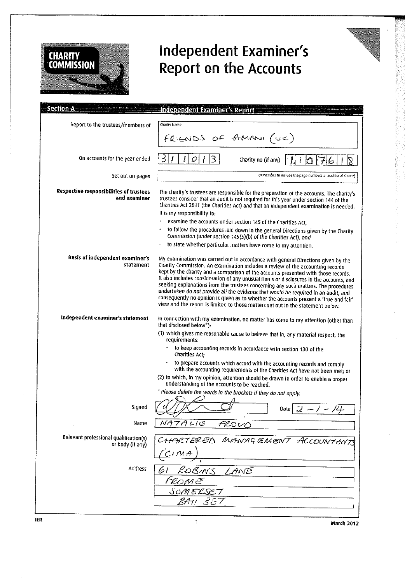

## **Independent Examiner's Report on the Accounts**

| <b>Section A</b>                                           | Independent Examiner's Report                                                                                                                                                                                                                                                                                                                                                                                                                                                                                                                                                                                                                                                                                |
|------------------------------------------------------------|--------------------------------------------------------------------------------------------------------------------------------------------------------------------------------------------------------------------------------------------------------------------------------------------------------------------------------------------------------------------------------------------------------------------------------------------------------------------------------------------------------------------------------------------------------------------------------------------------------------------------------------------------------------------------------------------------------------|
| Report to the trustees/members of                          | Charity Name                                                                                                                                                                                                                                                                                                                                                                                                                                                                                                                                                                                                                                                                                                 |
|                                                            | FRIENDS OF AMANI (UK)                                                                                                                                                                                                                                                                                                                                                                                                                                                                                                                                                                                                                                                                                        |
|                                                            |                                                                                                                                                                                                                                                                                                                                                                                                                                                                                                                                                                                                                                                                                                              |
| On accounts for the year ended                             | 3<br>3<br>I<br>O<br>Charity no (if any)                                                                                                                                                                                                                                                                                                                                                                                                                                                                                                                                                                                                                                                                      |
| Set out on pages                                           | (remember to include the page numbers of additional sheets)                                                                                                                                                                                                                                                                                                                                                                                                                                                                                                                                                                                                                                                  |
| Respective responsibilities of trustees<br>and examiner    | The charity's trustees are responsible for the preparation of the accounts. The charity's<br>trustees consider that an audit is not required for this year under section 144 of the<br>Charities Act 2011 (the Charities Act) and that an independent examination is needed.<br>It is my responsibility to:                                                                                                                                                                                                                                                                                                                                                                                                  |
|                                                            | examine the accounts under section 145 of the Charities Act,                                                                                                                                                                                                                                                                                                                                                                                                                                                                                                                                                                                                                                                 |
|                                                            | to follow the procedures laid down in the general Directions given by the Charity<br>Commission (under section 145(5)(b) of the Charities Act), and                                                                                                                                                                                                                                                                                                                                                                                                                                                                                                                                                          |
|                                                            | to state whether particular matters have come to my attention.                                                                                                                                                                                                                                                                                                                                                                                                                                                                                                                                                                                                                                               |
| Basis of independent examiner's<br>statement               | My examination was carried out in accordance with general Directions given by the<br>Charity Commission. An examination includes a review of the accounting records<br>kept by the charity and a comparison of the accounts presented with those records.<br>It also includes consideration of any unusual items or disclosures in the accounts, and<br>seeking explanations from the trustees concerning any such matters. The procedures<br>undertaken do not provide all the evidence that would be required in an audit, and<br>consequently no opinion is given as to whether the accounts present a 'true and fair'<br>view and the report is limited to those matters set out in the statement below. |
| Independent examiner's statement                           | In connection with my examination, no matter has come to my attention (other than<br>that disclosed below <sup>*</sup> ):                                                                                                                                                                                                                                                                                                                                                                                                                                                                                                                                                                                    |
|                                                            | (1) which gives me reasonable cause to believe that in, any material respect, the<br>requirements:                                                                                                                                                                                                                                                                                                                                                                                                                                                                                                                                                                                                           |
|                                                            | to keep accounting records in accordance with section 130 of the<br>Charities Act:                                                                                                                                                                                                                                                                                                                                                                                                                                                                                                                                                                                                                           |
|                                                            | to prepare accounts which accord with the accounting records and comply<br>with the accounting requirements of the Charities Act have not been met; or<br>(2) to which, in my opinion, attention should be drawn in order to enable a proper<br>understanding of the accounts to be reached.                                                                                                                                                                                                                                                                                                                                                                                                                 |
|                                                            | * Please delete the words in the brackets if they do not apply.                                                                                                                                                                                                                                                                                                                                                                                                                                                                                                                                                                                                                                              |
| Sianed                                                     | /4<br>$\int$<br>Date                                                                                                                                                                                                                                                                                                                                                                                                                                                                                                                                                                                                                                                                                         |
| Name                                                       | NATALIE<br>FROVO                                                                                                                                                                                                                                                                                                                                                                                                                                                                                                                                                                                                                                                                                             |
| Relevant professional qualification(s)<br>or body (if any) | CHARTERED MANAGEMENT ACCOUNTANTS<br>$C$ i M $A$                                                                                                                                                                                                                                                                                                                                                                                                                                                                                                                                                                                                                                                              |
| Address                                                    | 61<br>KOBINS<br>LANE<br>ROM E<br>SOMELSE 7                                                                                                                                                                                                                                                                                                                                                                                                                                                                                                                                                                                                                                                                   |
|                                                            | RA11<br>357                                                                                                                                                                                                                                                                                                                                                                                                                                                                                                                                                                                                                                                                                                  |

ier in de aangeste kommen van die 1de eeu n.C. In 1972 was die 1de eeu n.C. In 1972 was die 1de eeu n.C. In 19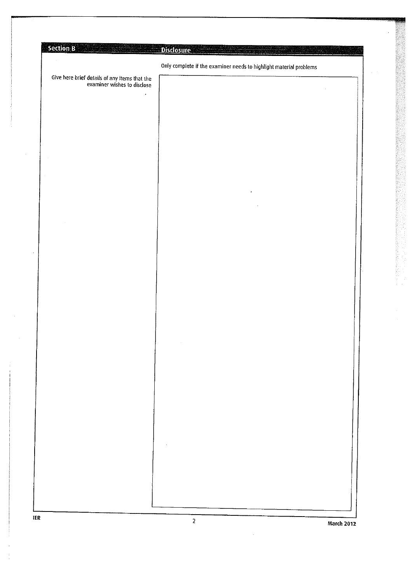| Section B<br>1.장기관 : 도시 2012 부터                                              | <b>Disclosure</b>                                                  |  |
|------------------------------------------------------------------------------|--------------------------------------------------------------------|--|
|                                                                              | Only complete if the examiner needs to highlight material problems |  |
| Give here brief details of any items that the<br>examiner wishes to disclose |                                                                    |  |
| $\bullet$                                                                    |                                                                    |  |
|                                                                              |                                                                    |  |
|                                                                              |                                                                    |  |
|                                                                              |                                                                    |  |
|                                                                              |                                                                    |  |
|                                                                              |                                                                    |  |
|                                                                              |                                                                    |  |
|                                                                              | $\bullet$                                                          |  |
|                                                                              |                                                                    |  |
|                                                                              |                                                                    |  |
|                                                                              |                                                                    |  |
|                                                                              |                                                                    |  |
|                                                                              |                                                                    |  |
|                                                                              |                                                                    |  |
|                                                                              |                                                                    |  |
|                                                                              |                                                                    |  |
|                                                                              |                                                                    |  |
|                                                                              |                                                                    |  |
|                                                                              |                                                                    |  |
|                                                                              |                                                                    |  |
|                                                                              |                                                                    |  |
|                                                                              |                                                                    |  |
|                                                                              |                                                                    |  |
|                                                                              |                                                                    |  |
|                                                                              |                                                                    |  |
|                                                                              |                                                                    |  |
|                                                                              |                                                                    |  |
|                                                                              |                                                                    |  |
|                                                                              |                                                                    |  |
|                                                                              |                                                                    |  |
|                                                                              |                                                                    |  |
|                                                                              |                                                                    |  |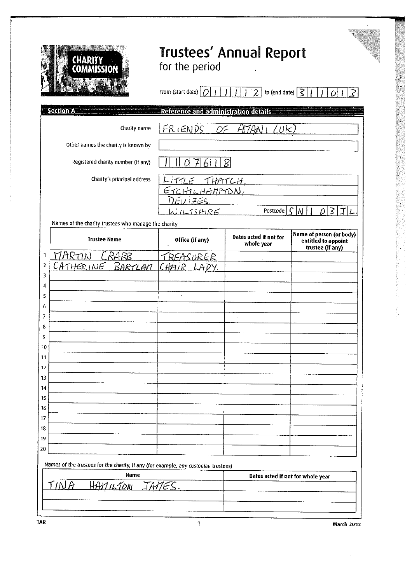

## **Trustees' Annual Report**<br>for the period

| From (start date) $\boxed{O\boxed{1}}$ $\boxed{1}$ $\boxed{1}$ $\boxed{2}$ to (end date) $\boxed{3}$ $\boxed{1}$ $\boxed{O\boxed{1}}$ $\boxed{3}$ |  |  |  |  |
|---------------------------------------------------------------------------------------------------------------------------------------------------|--|--|--|--|
| <b>Defection and Edministration Jurily</b>                                                                                                        |  |  |  |  |

|          | <b>Section A</b>                                     | Reference and administration details        |                                      |                                                                     |
|----------|------------------------------------------------------|---------------------------------------------|--------------------------------------|---------------------------------------------------------------------|
|          | Charity name                                         | FRIENDS<br>OF                               | $A\mathcal{V}AB$<br>(LUK)            |                                                                     |
|          | Other names the charity is known by                  |                                             |                                      |                                                                     |
|          | Registered charity number (if any)                   | $\mathcal{J}$<br>Ω<br>$\lvert \cdot \rvert$ | $\mathcal{S}$                        |                                                                     |
|          | Charity's principal address                          | <u>LITTLE THATCH, L</u>                     |                                      |                                                                     |
|          |                                                      | <u>ETCHILHAMPTON,</u><br>DEVIZES,           |                                      |                                                                     |
|          |                                                      |                                             |                                      |                                                                     |
|          |                                                      | NILISHIRE                                   | Postcode                             | $\mathsf{C}$<br>3<br>M<br>D                                         |
|          | Names of the charity trustees who manage the charity |                                             |                                      |                                                                     |
|          | <b>Trustee Name</b>                                  | Office (if any)                             | Dates acted if not for<br>whole year | Name of person (or body)<br>entitled to appoint<br>trustee (if any) |
| 1        | <u>CRARB</u>                                         | REASURER                                    |                                      |                                                                     |
| 2        | THERINE<br><u>BARTLAN</u>                            | CHAIR LADY.                                 |                                      |                                                                     |
| 3        |                                                      |                                             |                                      |                                                                     |
| 4        |                                                      |                                             |                                      |                                                                     |
| 5        |                                                      |                                             |                                      |                                                                     |
| 6        |                                                      |                                             |                                      |                                                                     |
| 7        |                                                      |                                             |                                      |                                                                     |
| 8        |                                                      |                                             |                                      |                                                                     |
| 9        |                                                      |                                             |                                      |                                                                     |
| 10       |                                                      |                                             |                                      |                                                                     |
| 11       |                                                      |                                             |                                      |                                                                     |
| 12       |                                                      |                                             |                                      |                                                                     |
| 13<br>14 |                                                      |                                             |                                      |                                                                     |
| 15       |                                                      |                                             |                                      |                                                                     |
| 16       |                                                      |                                             |                                      |                                                                     |
| 17       |                                                      |                                             |                                      |                                                                     |
| 18       |                                                      |                                             |                                      |                                                                     |
| 19       |                                                      |                                             |                                      |                                                                     |
| 20       |                                                      |                                             |                                      |                                                                     |

Names of the trustees for the charity, if any (for example, any custodian trustees)

| Dates acted if not for whole year |
|-----------------------------------|
|                                   |
|                                   |
|                                   |
|                                   |
|                                   |

 $\mathbf{1}$ 

**TAR** 

 $\ddot{\phantom{a}}$ 

March 2012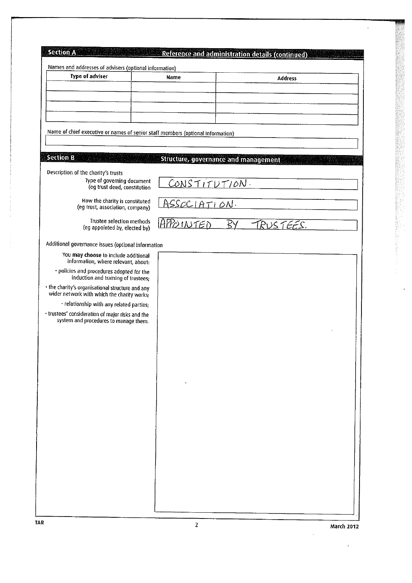| <b>Type of adviser</b>                                                                          | Names and addresses of advisers (optional information)<br>Name                  | <b>Address</b>  |
|-------------------------------------------------------------------------------------------------|---------------------------------------------------------------------------------|-----------------|
|                                                                                                 |                                                                                 |                 |
|                                                                                                 |                                                                                 |                 |
|                                                                                                 |                                                                                 |                 |
|                                                                                                 | Name of chief executive or names of senior staff members (optional information) |                 |
|                                                                                                 |                                                                                 |                 |
| <b>Section B</b>                                                                                |                                                                                 |                 |
|                                                                                                 | <b>Structure, governance and management</b>                                     |                 |
| Description of the charity's trusts<br>Type of governing document                               | CONSTITUTION.                                                                   |                 |
| (eg trust deed, constitution                                                                    |                                                                                 |                 |
| How the charity is constituted<br>(eg trust, association, company)                              | ASSOCIATION.                                                                    |                 |
| Trustee selection methods                                                                       |                                                                                 |                 |
| (eg appointed by, elected by)                                                                   | <u>APPOINTED</u>                                                                | ŖΥ<br>TRUSTEES. |
| Additional governance issues (optional information                                              |                                                                                 |                 |
| You may choose to include additional                                                            |                                                                                 |                 |
| information, where relevant, about:<br>· policies and procedures adopted for the                |                                                                                 |                 |
| induction and training of trustees;                                                             |                                                                                 |                 |
| . the charity's organisational structure and any<br>wider network with which the charity works; |                                                                                 |                 |
| · relationship with any related parties;                                                        |                                                                                 |                 |
| · trustees' consideration of major risks and the<br>system and procedures to manage them.       |                                                                                 |                 |
|                                                                                                 |                                                                                 |                 |
|                                                                                                 |                                                                                 |                 |
|                                                                                                 |                                                                                 |                 |
|                                                                                                 |                                                                                 |                 |
|                                                                                                 |                                                                                 |                 |
|                                                                                                 |                                                                                 |                 |
|                                                                                                 |                                                                                 |                 |
|                                                                                                 |                                                                                 |                 |
|                                                                                                 |                                                                                 |                 |
|                                                                                                 |                                                                                 |                 |
|                                                                                                 |                                                                                 |                 |
|                                                                                                 |                                                                                 |                 |
|                                                                                                 |                                                                                 |                 |
|                                                                                                 |                                                                                 |                 |

 $\ddot{\phantom{a}}$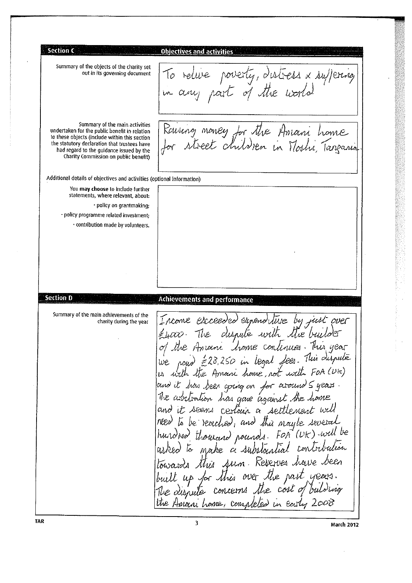**Section C Objectives and activities** Summary of the objects of the charity set To relive poverty, distress x suffering out in its governing document in any part of the world Summary of the main activities Raising money for the Amani home undertaken for the public benefit in relation to these objects (include within this section street children in Mashi, Tangania the statutory declaration that trustees have had regard to the guidance issued by the Charity Commission on public benefit) Additional details of objectives and activities (optional information) You may choose to include further statements, where relevant, about: · policy on grantmaking; · policy programme related investment; · contribution made by volunteers. **Section D** Achievements and performance Summary of the main achievements of the Income escreeded expenditure by just over charity during the year Etico. The dispute with the builder of the Amani home continues. This year We now £28,250 in legal Joes. This dispute<br>is with the Amani home, not with FOA (Utc) and it has been going on for a round Syears. The adultation has gone against the home and it seems certain a settlement will need to be reciclied, and this naybe several hurdred thourard pounds. FOR (UK) will be make a substantial contribution this sum. Reserves have been towards built up for this over the past years The dispute concerns the cost of building the Amani home, completed in Easty 2008  $\overline{\mathbf{3}}$ 

TAR

**March 2012**